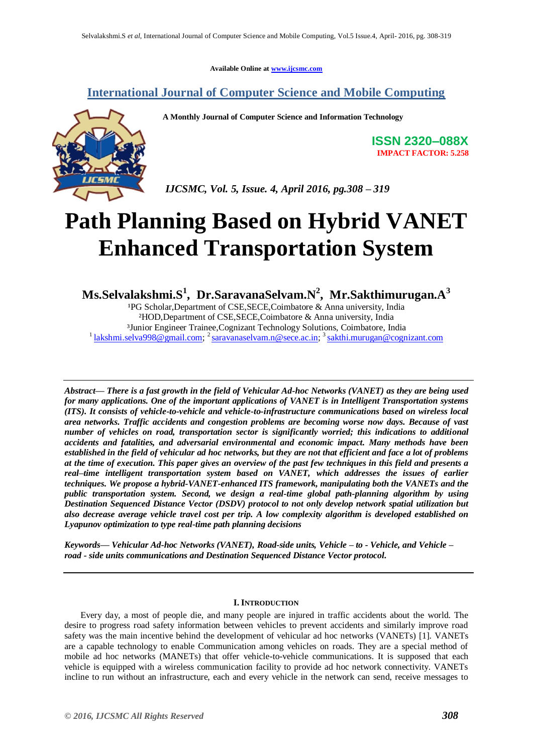**Available Online at www.ijcsmc.com**

## **International Journal of Computer Science and Mobile Computing**



 **A Monthly Journal of Computer Science and Information Technology**

**ISSN 2320–088X IMPACT FACTOR: 5.258**

 *IJCSMC, Vol. 5, Issue. 4, April 2016, pg.308 – 319*

# **Path Planning Based on Hybrid VANET Enhanced Transportation System**

**Ms.Selvalakshmi.S<sup>1</sup> , Dr.SaravanaSelvam.N<sup>2</sup> , Mr.Sakthimurugan.A<sup>3</sup>**

<sup>1</sup>PG Scholar, Department of CSE, SECE, Coimbatore & Anna university, India ²HOD,Department of CSE,SECE,Coimbatore & Anna university, India ³Junior Engineer Trainee,Cognizant Technology Solutions, Coimbatore, India <sup>1</sup> lakshmi.selva998@gmail.com; <sup>2</sup> saravanaselvam.n@sece.ac.in; <sup>3</sup> sakthi.murugan@cognizant.com

*Abstract— There is a fast growth in the field of Vehicular Ad-hoc Networks (VANET) as they are being used for many applications. One of the important applications of VANET is in Intelligent Transportation systems (ITS). It consists of vehicle-to-vehicle and vehicle-to-infrastructure communications based on wireless local area networks. Traffic accidents and congestion problems are becoming worse now days. Because of vast number of vehicles on road, transportation sector is significantly worried; this indications to additional accidents and fatalities, and adversarial environmental and economic impact. Many methods have been established in the field of vehicular ad hoc networks, but they are not that efficient and face a lot of problems at the time of execution. This paper gives an overview of the past few techniques in this field and presents a real–time intelligent transportation system based on VANET, which addresses the issues of earlier techniques. We propose a hybrid-VANET-enhanced ITS framework, manipulating both the VANETs and the public transportation system. Second, we design a real-time global path-planning algorithm by using Destination Sequenced Distance Vector (DSDV) protocol to not only develop network spatial utilization but also decrease average vehicle travel cost per trip. A low complexity algorithm is developed established on Lyapunov optimization to type real-time path planning decisions*

*Keywords— Vehicular Ad-hoc Networks (VANET), Road-side units, Vehicle – to - Vehicle, and Vehicle – road - side units communications and Destination Sequenced Distance Vector protocol.*

## **I. INTRODUCTION**

Every day, a most of people die, and many people are injured in traffic accidents about the world. The desire to progress road safety information between vehicles to prevent accidents and similarly improve road safety was the main incentive behind the development of vehicular ad hoc networks (VANETs) [1]. VANETs are a capable technology to enable Communication among vehicles on roads. They are a special method of mobile ad hoc networks (MANETs) that offer vehicle-to-vehicle communications. It is supposed that each vehicle is equipped with a wireless communication facility to provide ad hoc network connectivity. VANETs incline to run without an infrastructure, each and every vehicle in the network can send, receive messages to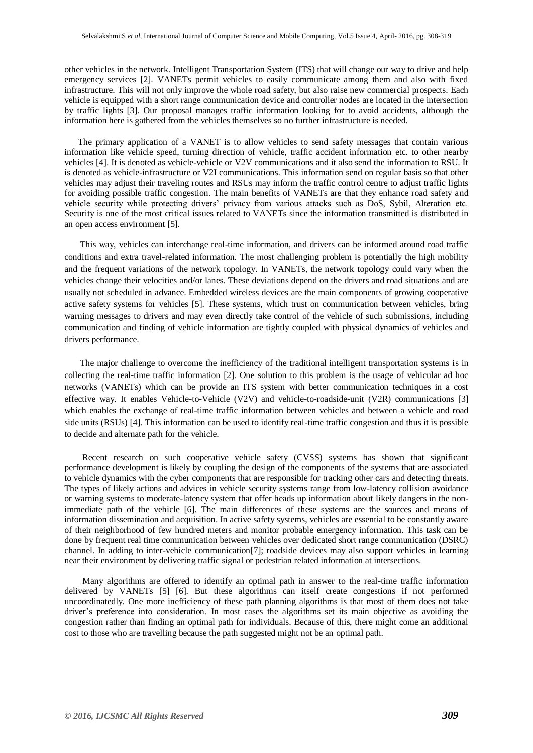other vehicles in the network. Intelligent Transportation System (ITS) that will change our way to drive and help emergency services [2]. VANETs permit vehicles to easily communicate among them and also with fixed infrastructure. This will not only improve the whole road safety, but also raise new commercial prospects. Each vehicle is equipped with a short range communication device and controller nodes are located in the intersection by traffic lights [3]. Our proposal manages traffic information looking for to avoid accidents, although the information here is gathered from the vehicles themselves so no further infrastructure is needed.

 The primary application of a VANET is to allow vehicles to send safety messages that contain various information like vehicle speed, turning direction of vehicle, traffic accident information etc. to other nearby vehicles [4]. It is denoted as vehicle-vehicle or V2V communications and it also send the information to RSU. It is denoted as vehicle-infrastructure or V2I communications. This information send on regular basis so that other vehicles may adjust their traveling routes and RSUs may inform the traffic control centre to adjust traffic lights for avoiding possible traffic congestion. The main benefits of VANETs are that they enhance road safety and vehicle security while protecting drivers' privacy from various attacks such as DoS, Sybil, Alteration etc. Security is one of the most critical issues related to VANETs since the information transmitted is distributed in an open access environment [5].

 This way, vehicles can interchange real-time information, and drivers can be informed around road traffic conditions and extra travel-related information. The most challenging problem is potentially the high mobility and the frequent variations of the network topology. In VANETs, the network topology could vary when the vehicles change their velocities and/or lanes. These deviations depend on the drivers and road situations and are usually not scheduled in advance. Embedded wireless devices are the main components of growing cooperative active safety systems for vehicles [5]. These systems, which trust on communication between vehicles, bring warning messages to drivers and may even directly take control of the vehicle of such submissions, including communication and finding of vehicle information are tightly coupled with physical dynamics of vehicles and drivers performance.

 The major challenge to overcome the inefficiency of the traditional intelligent transportation systems is in collecting the real-time traffic information [2]. One solution to this problem is the usage of vehicular ad hoc networks (VANETs) which can be provide an ITS system with better communication techniques in a cost effective way. It enables Vehicle-to-Vehicle (V2V) and vehicle-to-roadside-unit (V2R) communications [3] which enables the exchange of real-time traffic information between vehicles and between a vehicle and road side units (RSUs) [4]. This information can be used to identify real-time traffic congestion and thus it is possible to decide and alternate path for the vehicle.

 Recent research on such cooperative vehicle safety (CVSS) systems has shown that significant performance development is likely by coupling the design of the components of the systems that are associated to vehicle dynamics with the cyber components that are responsible for tracking other cars and detecting threats. The types of likely actions and advices in vehicle security systems range from low-latency collision avoidance or warning systems to moderate-latency system that offer heads up information about likely dangers in the nonimmediate path of the vehicle [6]. The main differences of these systems are the sources and means of information dissemination and acquisition. In active safety systems, vehicles are essential to be constantly aware of their neighborhood of few hundred meters and monitor probable emergency information. This task can be done by frequent real time communication between vehicles over dedicated short range communication (DSRC) channel. In adding to inter-vehicle communication[7]; roadside devices may also support vehicles in learning near their environment by delivering traffic signal or pedestrian related information at intersections.

 Many algorithms are offered to identify an optimal path in answer to the real-time traffic information delivered by VANETs [5] [6]. But these algorithms can itself create congestions if not performed uncoordinatedly. One more inefficiency of these path planning algorithms is that most of them does not take driver's preference into consideration. In most cases the algorithms set its main objective as avoiding the congestion rather than finding an optimal path for individuals. Because of this, there might come an additional cost to those who are travelling because the path suggested might not be an optimal path.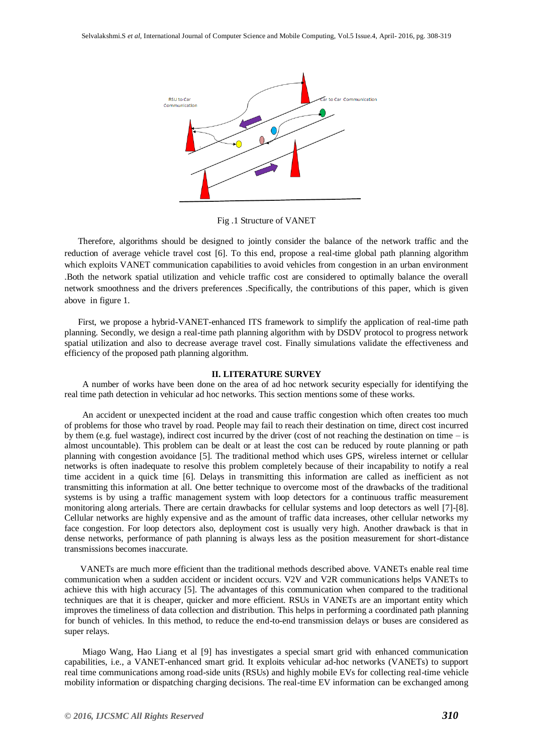

Fig .1 Structure of VANET

 Therefore, algorithms should be designed to jointly consider the balance of the network traffic and the reduction of average vehicle travel cost [6]. To this end, propose a real-time global path planning algorithm which exploits VANET communication capabilities to avoid vehicles from congestion in an urban environment .Both the network spatial utilization and vehicle traffic cost are considered to optimally balance the overall network smoothness and the drivers preferences .Specifically, the contributions of this paper, which is given above in figure 1.

 First, we propose a hybrid-VANET-enhanced ITS framework to simplify the application of real-time path planning. Secondly, we design a real-time path planning algorithm with by DSDV protocol to progress network spatial utilization and also to decrease average travel cost. Finally simulations validate the effectiveness and efficiency of the proposed path planning algorithm.

#### **II. LITERATURE SURVEY**

 A number of works have been done on the area of ad hoc network security especially for identifying the real time path detection in vehicular ad hoc networks. This section mentions some of these works.

 An accident or unexpected incident at the road and cause traffic congestion which often creates too much of problems for those who travel by road. People may fail to reach their destination on time, direct cost incurred by them (e.g. fuel wastage), indirect cost incurred by the driver (cost of not reaching the destination on time – is almost uncountable). This problem can be dealt or at least the cost can be reduced by route planning or path planning with congestion avoidance [5]. The traditional method which uses GPS, wireless internet or cellular networks is often inadequate to resolve this problem completely because of their incapability to notify a real time accident in a quick time [6]. Delays in transmitting this information are called as inefficient as not transmitting this information at all. One better technique to overcome most of the drawbacks of the traditional systems is by using a traffic management system with loop detectors for a continuous traffic measurement monitoring along arterials. There are certain drawbacks for cellular systems and loop detectors as well [7]-[8]. Cellular networks are highly expensive and as the amount of traffic data increases, other cellular networks my face congestion. For loop detectors also, deployment cost is usually very high. Another drawback is that in dense networks, performance of path planning is always less as the position measurement for short-distance transmissions becomes inaccurate.

 VANETs are much more efficient than the traditional methods described above. VANETs enable real time communication when a sudden accident or incident occurs. V2V and V2R communications helps VANETs to achieve this with high accuracy [5]. The advantages of this communication when compared to the traditional techniques are that it is cheaper, quicker and more efficient. RSUs in VANETs are an important entity which improves the timeliness of data collection and distribution. This helps in performing a coordinated path planning for bunch of vehicles. In this method, to reduce the end-to-end transmission delays or buses are considered as super relays.

 Miago Wang, Hao Liang et al [9] has investigates a special smart grid with enhanced communication capabilities, i.e., a VANET-enhanced smart grid. It exploits vehicular ad-hoc networks (VANETs) to support real time communications among road-side units (RSUs) and highly mobile EVs for collecting real-time vehicle mobility information or dispatching charging decisions. The real-time EV information can be exchanged among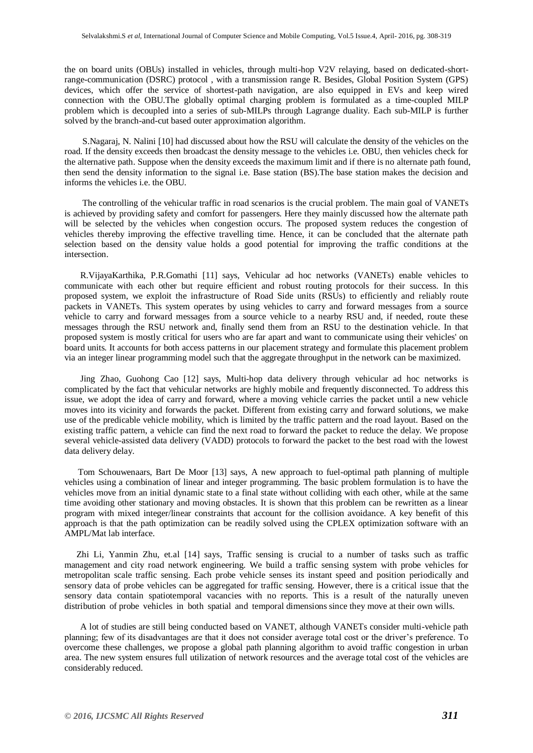the on board units (OBUs) installed in vehicles, through multi-hop V2V relaying, based on dedicated-shortrange-communication (DSRC) protocol , with a transmission range R. Besides, Global Position System (GPS) devices, which offer the service of shortest-path navigation, are also equipped in EVs and keep wired connection with the OBU.The globally optimal charging problem is formulated as a time-coupled MILP problem which is decoupled into a series of sub-MILPs through Lagrange duality. Each sub-MILP is further solved by the branch-and-cut based outer approximation algorithm.

 S.Nagaraj, N. Nalini [10] had discussed about how the RSU will calculate the density of the vehicles on the road. If the density exceeds then broadcast the density message to the vehicles i.e. OBU, then vehicles check for the alternative path. Suppose when the density exceeds the maximum limit and if there is no alternate path found, then send the density information to the signal i.e. Base station (BS).The base station makes the decision and informs the vehicles i.e. the OBU.

 The controlling of the vehicular traffic in road scenarios is the crucial problem. The main goal of VANETs is achieved by providing safety and comfort for passengers. Here they mainly discussed how the alternate path will be selected by the vehicles when congestion occurs. The proposed system reduces the congestion of vehicles thereby improving the effective travelling time. Hence, it can be concluded that the alternate path selection based on the density value holds a good potential for improving the traffic conditions at the intersection.

 R.VijayaKarthika, P.R.Gomathi [11] says, Vehicular ad hoc networks (VANETs) enable vehicles to communicate with each other but require efficient and robust routing protocols for their success. In this proposed system, we exploit the infrastructure of Road Side units (RSUs) to efficiently and reliably route packets in VANETs. This system operates by using vehicles to carry and forward messages from a source vehicle to carry and forward messages from a source vehicle to a nearby RSU and, if needed, route these messages through the RSU network and, finally send them from an RSU to the destination vehicle. In that proposed system is mostly critical for users who are far apart and want to communicate using their vehicles' on board units. It accounts for both access patterns in our placement strategy and formulate this placement problem via an integer linear programming model such that the aggregate throughput in the network can be maximized.

 Jing Zhao, Guohong Cao [12] says, Multi-hop data delivery through vehicular ad hoc networks is complicated by the fact that vehicular networks are highly mobile and frequently disconnected. To address this issue, we adopt the idea of carry and forward, where a moving vehicle carries the packet until a new vehicle moves into its vicinity and forwards the packet. Different from existing carry and forward solutions, we make use of the predicable vehicle mobility, which is limited by the traffic pattern and the road layout. Based on the existing traffic pattern, a vehicle can find the next road to forward the packet to reduce the delay. We propose several vehicle-assisted data delivery (VADD) protocols to forward the packet to the best road with the lowest data delivery delay.

 Tom Schouwenaars, Bart De Moor [13] says, A new approach to fuel-optimal path planning of multiple vehicles using a combination of linear and integer programming. The basic problem formulation is to have the vehicles move from an initial dynamic state to a final state without colliding with each other, while at the same time avoiding other stationary and moving obstacles. It is shown that this problem can be rewritten as a linear program with mixed integer/linear constraints that account for the collision avoidance. A key benefit of this approach is that the path optimization can be readily solved using the CPLEX optimization software with an AMPL/Mat lab interface.

 Zhi Li, Yanmin Zhu, et.al [14] says, Traffic sensing is crucial to a number of tasks such as traffic management and city road network engineering. We build a traffic sensing system with probe vehicles for metropolitan scale traffic sensing. Each probe vehicle senses its instant speed and position periodically and sensory data of probe vehicles can be aggregated for traffic sensing. However, there is a critical issue that the sensory data contain spatiotemporal vacancies with no reports. This is a result of the naturally uneven distribution of probe vehicles in both spatial and temporal dimensions since they move at their own wills.

 A lot of studies are still being conducted based on VANET, although VANETs consider multi-vehicle path planning; few of its disadvantages are that it does not consider average total cost or the driver's preference. To overcome these challenges, we propose a global path planning algorithm to avoid traffic congestion in urban area. The new system ensures full utilization of network resources and the average total cost of the vehicles are considerably reduced.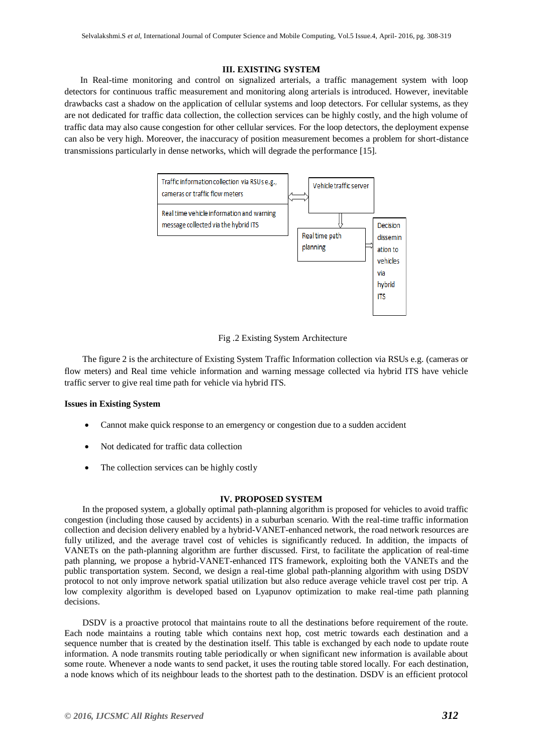## **III. EXISTING SYSTEM**

 In Real-time monitoring and control on signalized arterials, a traffic management system with loop detectors for continuous traffic measurement and monitoring along arterials is introduced. However, inevitable drawbacks cast a shadow on the application of cellular systems and loop detectors. For cellular systems, as they are not dedicated for traffic data collection, the collection services can be highly costly, and the high volume of traffic data may also cause congestion for other cellular services. For the loop detectors, the deployment expense can also be very high. Moreover, the inaccuracy of position measurement becomes a problem for short-distance transmissions particularly in dense networks, which will degrade the performance [15].



Fig .2 Existing System Architecture

 The figure 2 is the architecture of Existing System Traffic Information collection via RSUs e.g. (cameras or flow meters) and Real time vehicle information and warning message collected via hybrid ITS have vehicle traffic server to give real time path for vehicle via hybrid ITS.

#### **Issues in Existing System**

- Cannot make quick response to an emergency or congestion due to a sudden accident
- Not dedicated for traffic data collection
- The collection services can be highly costly

## **IV. PROPOSED SYSTEM**

 In the proposed system, a globally optimal path-planning algorithm is proposed for vehicles to avoid traffic congestion (including those caused by accidents) in a suburban scenario. With the real-time traffic information collection and decision delivery enabled by a hybrid-VANET-enhanced network, the road network resources are fully utilized, and the average travel cost of vehicles is significantly reduced. In addition, the impacts of VANETs on the path-planning algorithm are further discussed. First, to facilitate the application of real-time path planning, we propose a hybrid-VANET-enhanced ITS framework, exploiting both the VANETs and the public transportation system. Second, we design a real-time global path-planning algorithm with using DSDV protocol to not only improve network spatial utilization but also reduce average vehicle travel cost per trip. A low complexity algorithm is developed based on Lyapunov optimization to make real-time path planning decisions.

DSDV is a proactive protocol that maintains route to all the destinations before requirement of the route. Each node maintains a routing table which contains next hop, cost metric towards each destination and a sequence number that is created by the destination itself. This table is exchanged by each node to update route information. A node transmits routing table periodically or when significant new information is available about some route. Whenever a node wants to send packet, it uses the routing table stored locally. For each destination, a node knows which of its neighbour leads to the shortest path to the destination. DSDV is an efficient protocol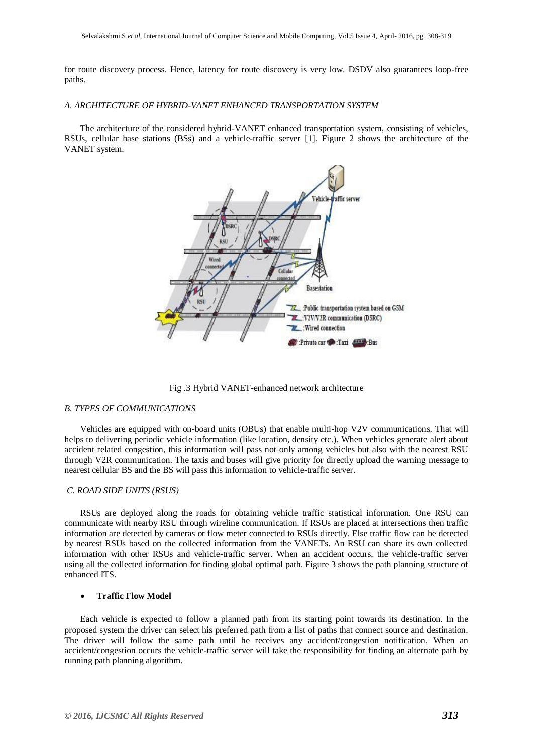for route discovery process. Hence, latency for route discovery is very low. DSDV also guarantees loop-free paths.

#### *A. ARCHITECTURE OF HYBRID-VANET ENHANCED TRANSPORTATION SYSTEM*

 The architecture of the considered hybrid-VANET enhanced transportation system, consisting of vehicles, RSUs, cellular base stations (BSs) and a vehicle-traffic server [1]. Figure 2 shows the architecture of the VANET system.



Fig .3 Hybrid VANET-enhanced network architecture

#### *B. TYPES OF COMMUNICATIONS*

 Vehicles are equipped with on-board units (OBUs) that enable multi-hop V2V communications. That will helps to delivering periodic vehicle information (like location, density etc.). When vehicles generate alert about accident related congestion, this information will pass not only among vehicles but also with the nearest RSU through V2R communication. The taxis and buses will give priority for directly upload the warning message to nearest cellular BS and the BS will pass this information to vehicle-traffic server.

#### *C. ROAD SIDE UNITS (RSUS)*

 RSUs are deployed along the roads for obtaining vehicle traffic statistical information. One RSU can communicate with nearby RSU through wireline communication. If RSUs are placed at intersections then traffic information are detected by cameras or flow meter connected to RSUs directly. Else traffic flow can be detected by nearest RSUs based on the collected information from the VANETs. An RSU can share its own collected information with other RSUs and vehicle-traffic server. When an accident occurs, the vehicle-traffic server using all the collected information for finding global optimal path. Figure 3 shows the path planning structure of enhanced ITS.

#### **Traffic Flow Model**

 Each vehicle is expected to follow a planned path from its starting point towards its destination. In the proposed system the driver can select his preferred path from a list of paths that connect source and destination. The driver will follow the same path until he receives any accident/congestion notification. When an accident/congestion occurs the vehicle-traffic server will take the responsibility for finding an alternate path by running path planning algorithm.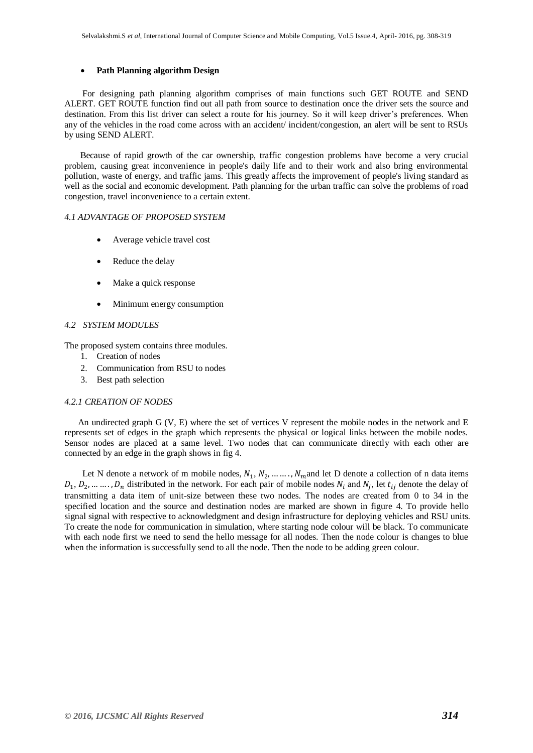## **Path Planning algorithm Design**

 For designing path planning algorithm comprises of main functions such GET ROUTE and SEND ALERT. GET ROUTE function find out all path from source to destination once the driver sets the source and destination. From this list driver can select a route for his journey. So it will keep driver's preferences. When any of the vehicles in the road come across with an accident/ incident/congestion, an alert will be sent to RSUs by using SEND ALERT.

 Because of rapid growth of the car ownership, traffic congestion problems have become a very crucial problem, causing great inconvenience in people's daily life and to their work and also bring environmental pollution, waste of energy, and traffic jams. This greatly affects the improvement of people's living standard as well as the social and economic development. Path planning for the urban traffic can solve the problems of road congestion, travel inconvenience to a certain extent.

## *4.1 ADVANTAGE OF PROPOSED SYSTEM*

- Average vehicle travel cost
- Reduce the delay
- Make a quick response
- Minimum energy consumption

## *4.2 SYSTEM MODULES*

The proposed system contains three modules.

- 1. Creation of nodes
- 2. Communication from RSU to nodes
- 3. Best path selection

#### *4.2.1 CREATION OF NODES*

 An undirected graph G (V, E) where the set of vertices V represent the mobile nodes in the network and E represents set of edges in the graph which represents the physical or logical links between the mobile nodes. Sensor nodes are placed at a same level. Two nodes that can communicate directly with each other are connected by an edge in the graph shows in fig 4.

Let N denote a network of m mobile nodes,  $N_1, N_2, \dots, N_m$  and let D denote a collection of n data items  $D_1, D_2, \ldots, D_n$  distributed in the network. For each pair of mobile nodes  $N_i$  and  $N_j$ , let  $t_{ij}$  denote the delay of transmitting a data item of unit-size between these two nodes. The nodes are created from 0 to 34 in the specified location and the source and destination nodes are marked are shown in figure 4. To provide hello signal signal with respective to acknowledgment and design infrastructure for deploying vehicles and RSU units. To create the node for communication in simulation, where starting node colour will be black. To communicate with each node first we need to send the hello message for all nodes. Then the node colour is changes to blue when the information is successfully send to all the node. Then the node to be adding green colour.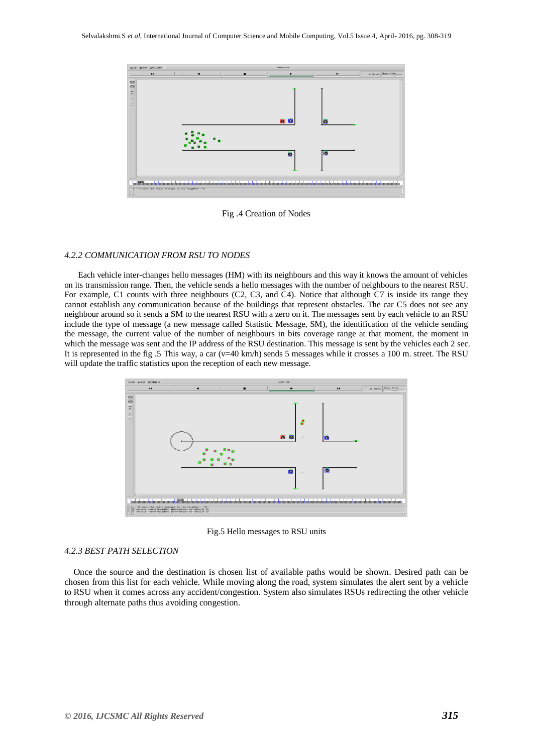

Fig .4 Creation of Nodes

#### *4.2.2 COMMUNICATION FROM RSU TO NODES*

 Each vehicle inter-changes hello messages (HM) with its neighbours and this way it knows the amount of vehicles on its transmission range. Then, the vehicle sends a hello messages with the number of neighbours to the nearest RSU. For example, C1 counts with three neighbours (C2, C3, and C4). Notice that although C7 is inside its range they cannot establish any communication because of the buildings that represent obstacles. The car C5 does not see any neighbour around so it sends a SM to the nearest RSU with a zero on it. The messages sent by each vehicle to an RSU include the type of message (a new message called Statistic Message, SM), the identification of the vehicle sending the message, the current value of the number of neighbours in bits coverage range at that moment, the moment in which the message was sent and the IP address of the RSU destination. This message is sent by the vehicles each 2 sec. It is represented in the fig .5 This way, a car  $(v=40 \text{ km/h})$  sends 5 messages while it crosses a 100 m. street. The RSU will update the traffic statistics upon the reception of each new message.



Fig.5 Hello messages to RSU units

#### *4.2.3 BEST PATH SELECTION*

 Once the source and the destination is chosen list of available paths would be shown. Desired path can be chosen from this list for each vehicle. While moving along the road, system simulates the alert sent by a vehicle to RSU when it comes across any accident/congestion. System also simulates RSUs redirecting the other vehicle through alternate paths thus avoiding congestion.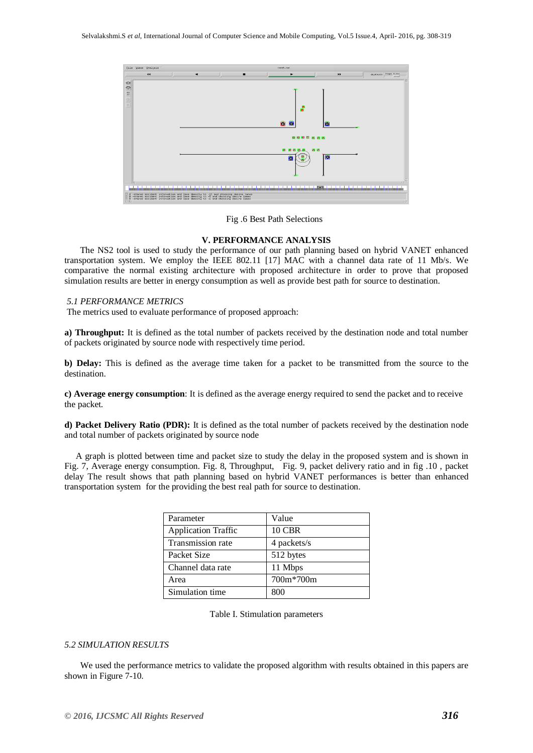

Fig .6 Best Path Selections

## **V. PERFORMANCE ANALYSIS**

 The NS2 tool is used to study the performance of our path planning based on hybrid VANET enhanced transportation system. We employ the IEEE 802.11 [17] MAC with a channel data rate of 11 Mb/s. We comparative the normal existing architecture with proposed architecture in order to prove that proposed simulation results are better in energy consumption as well as provide best path for source to destination.

## *5.1 PERFORMANCE METRICS*

The metrics used to evaluate performance of proposed approach:

**a) Throughput:** It is defined as the total number of packets received by the destination node and total number of packets originated by source node with respectively time period.

**b) Delay:** This is defined as the average time taken for a packet to be transmitted from the source to the destination.

**c) Average energy consumption**: It is defined as the average energy required to send the packet and to receive the packet.

**d) Packet Delivery Ratio (PDR):** It is defined as the total number of packets received by the destination node and total number of packets originated by source node

 A graph is plotted between time and packet size to study the delay in the proposed system and is shown in Fig. 7, Average energy consumption. Fig. 8, Throughput, Fig. 9, packet delivery ratio and in fig .10 , packet delay The result shows that path planning based on hybrid VANET performances is better than enhanced transportation system for the providing the best real path for source to destination.

| Parameter                  | Value         |
|----------------------------|---------------|
| <b>Application Traffic</b> | <b>10 CBR</b> |
| Transmission rate          | 4 packets/s   |
| Packet Size                | 512 bytes     |
| Channel data rate          | 11 Mbps       |
| Area                       | 700m*700m     |
| Simulation time            | 800           |

## *5.2 SIMULATION RESULTS*

 We used the performance metrics to validate the proposed algorithm with results obtained in this papers are shown in Figure 7-10.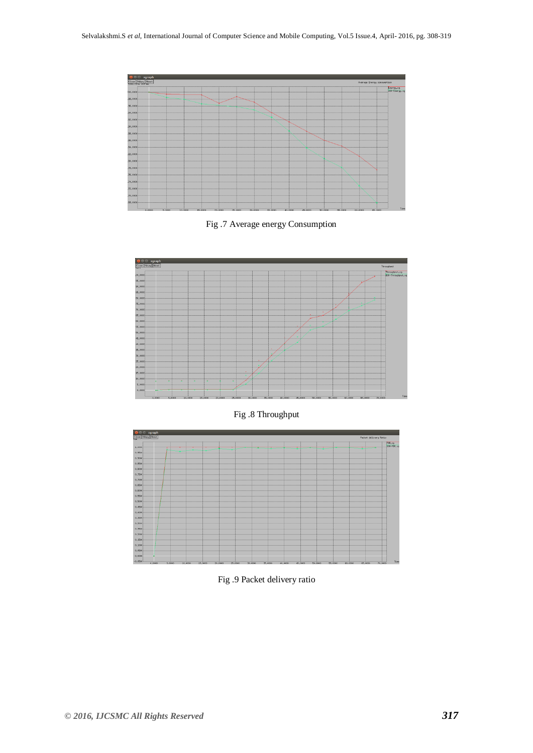

Fig .7 Average energy Consumption



Fig .8 Throughput



Fig .9 Packet delivery ratio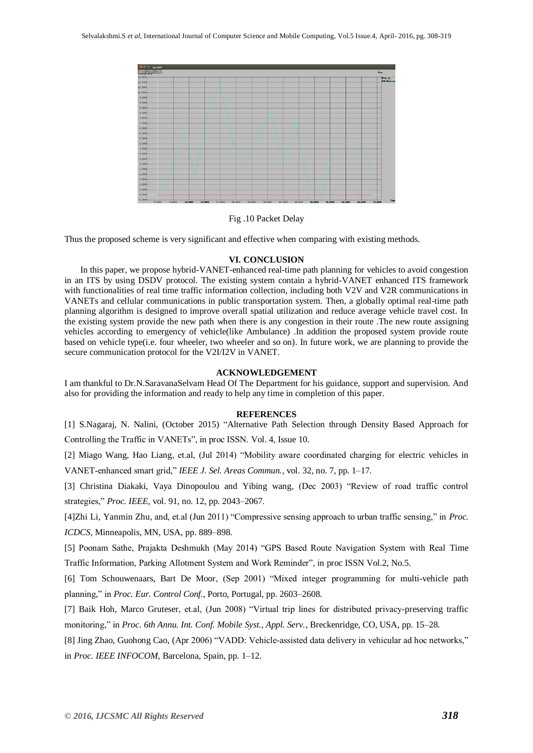

Fig .10 Packet Delay

Thus the proposed scheme is very significant and effective when comparing with existing methods.

#### **VI. CONCLUSION**

 In this paper, we propose hybrid-VANET-enhanced real-time path planning for vehicles to avoid congestion in an ITS by using DSDV protocol. The existing system contain a hybrid-VANET enhanced ITS framework with functionalities of real time traffic information collection, including both V2V and V2R communications in VANETs and cellular communications in public transportation system. Then, a globally optimal real-time path planning algorithm is designed to improve overall spatial utilization and reduce average vehicle travel cost. In the existing system provide the new path when there is any congestion in their route .The new route assigning vehicles according to emergency of vehicle(like Ambulance) .In addition the proposed system provide route based on vehicle type(i.e. four wheeler, two wheeler and so on). In future work, we are planning to provide the secure communication protocol for the V2I/I2V in VANET.

#### **ACKNOWLEDGEMENT**

I am thankful to Dr.N.SaravanaSelvam Head Of The Department for his guidance, support and supervision. And also for providing the information and ready to help any time in completion of this paper.

#### **REFERENCES**

[1] S.Nagaraj, N. Nalini, (October 2015) "Alternative Path Selection through Density Based Approach for Controlling the Traffic in VANETs", in proc ISSN. Vol. 4, Issue 10.

[2] Miago Wang, Hao Liang, et.al, (Jul 2014) "Mobility aware coordinated charging for electric vehicles in

VANET-enhanced smart grid," *IEEE J. Sel. Areas Commun.*, vol. 32, no. 7, pp. 1–17.

[3] Christina Diakaki, Vaya Dinopoulou and Yibing wang, (Dec 2003) "Review of road traffic control strategies," *Proc. IEEE*, vol. 91, no. 12, pp. 2043–2067.

[4]Zhi Li, Yanmin Zhu, and, et.al (Jun 2011) "Compressive sensing approach to urban traffic sensing," in *Proc. ICDCS*, Minneapolis, MN, USA, pp. 889–898.

[5] Poonam Sathe, Prajakta Deshmukh (May 2014) "GPS Based Route Navigation System with Real Time Traffic Information, Parking Allotment System and Work Reminder", in proc ISSN Vol.2, No.5.

[6] Tom Schouwenaars, Bart De Moor, (Sep 2001) "Mixed integer programming for multi-vehicle path planning," in *Proc. Eur. Control Conf.*, Porto, Portugal, pp. 2603–2608.

[7] Baik Hoh, Marco Gruteser, et.al, (Jun 2008) "Virtual trip lines for distributed privacy-preserving traffic monitoring," in *Proc. 6th Annu. Int. Conf. Mobile Syst., Appl. Serv.*, Breckenridge, CO, USA, pp. 15–28.

[8] Jing Zhao, Guohong Cao, (Apr 2006) "VADD: Vehicle-assisted data delivery in vehicular ad hoc networks," in *Proc. IEEE INFOCOM*, Barcelona, Spain, pp. 1–12.